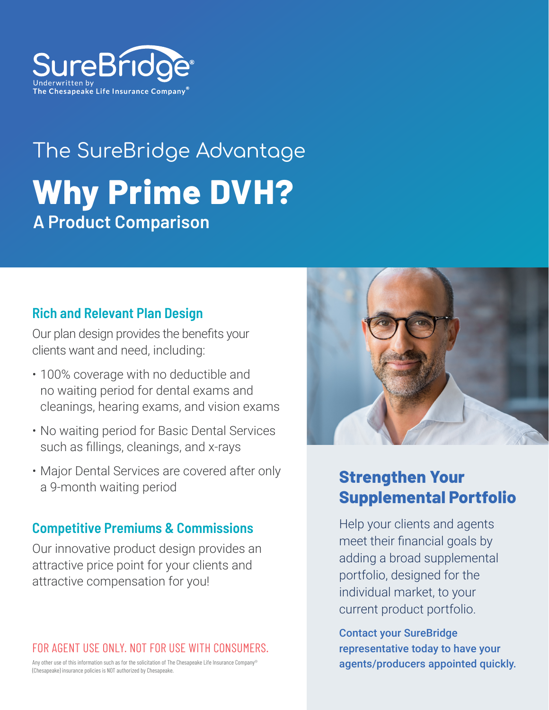

# The SureBridge Advantage **Why Prime DVH? A Product Comparison**

#### **Rich and Relevant Plan Design**

Our plan design provides the benefits your clients want and need, including:

- 100% coverage with no deductible and no waiting period for dental exams and cleanings, hearing exams, and vision exams
- No waiting period for Basic Dental Services such as fillings, cleanings, and x-rays
- Major Dental Services are covered after only a 9-month waiting period

#### **Competitive Premiums & Commissions**

Our innovative product design provides an attractive price point for your clients and attractive compensation for you!

#### FOR AGENT USE ONLY. NOT FOR USE WITH CONSUMERS.

Any other use of this information such as for the solicitation of The Chesapeake Life Insurance Company® (Chesapeake) insurance policies is NOT authorized by Chesapeake.



### **Strengthen Your Supplemental Portfolio**

Help your clients and agents meet their financial goals by adding a broad supplemental portfolio, designed for the individual market, to your current product portfolio.

Contact your SureBridge representative today to have your agents/producers appointed quickly.